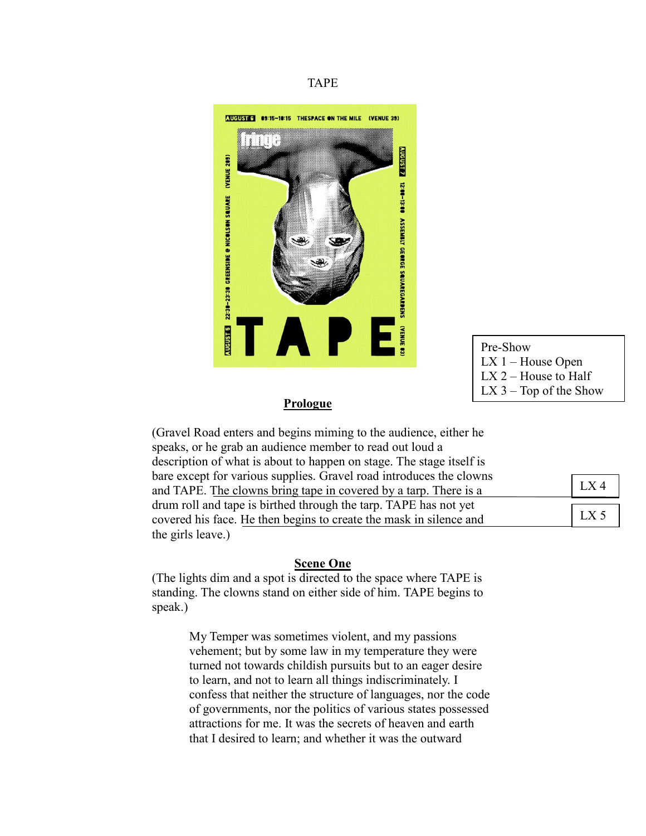## TAPE



Pre-Show LX 1 – House Open  $LX$  2 – House to Half  $LX$  3 – Top of the Show

## **Prologue**

| (Gravel Road enters and begins miming to the audience, either he     |                 |
|----------------------------------------------------------------------|-----------------|
| speaks, or he grab an audience member to read out loud a             |                 |
| description of what is about to happen on stage. The stage itself is |                 |
| bare except for various supplies. Gravel road introduces the clowns  |                 |
| and TAPE. The clowns bring tape in covered by a tarp. There is a     | LX 4            |
| drum roll and tape is birthed through the tarp. TAPE has not yet     |                 |
| covered his face. He then begins to create the mask in silence and   | LX <sub>5</sub> |
| the girls leave.)                                                    |                 |

## **Scene One**

(The lights dim and a spot is directed to the space where TAPE is standing. The clowns stand on either side of him. TAPE begins to speak.)

> My Temper was sometimes violent, and my passions vehement; but by some law in my temperature they were turned not towards childish pursuits but to an eager desire to learn, and not to learn all things indiscriminately. I confess that neither the structure of languages, nor the code of governments, nor the politics of various states possessed attractions for me. It was the secrets of heaven and earth that I desired to learn; and whether it was the outward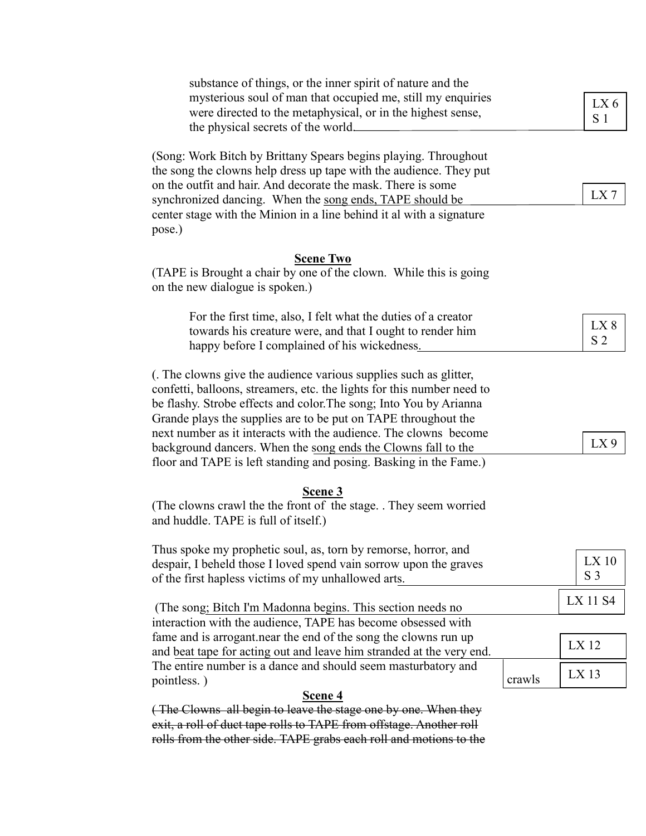| substance of things, or the inner spirit of nature and the             |        |                 |
|------------------------------------------------------------------------|--------|-----------------|
| mysterious soul of man that occupied me, still my enquiries            |        |                 |
| were directed to the metaphysical, or in the highest sense,            |        | LX <sub>6</sub> |
| the physical secrets of the world.                                     |        | S <sub>1</sub>  |
|                                                                        |        |                 |
| (Song: Work Bitch by Brittany Spears begins playing. Throughout        |        |                 |
| the song the clowns help dress up tape with the audience. They put     |        |                 |
| on the outfit and hair. And decorate the mask. There is some           |        |                 |
| synchronized dancing. When the song ends, TAPE should be               |        | LX7             |
| center stage with the Minion in a line behind it al with a signature   |        |                 |
| pose.)                                                                 |        |                 |
| <b>Scene Two</b>                                                       |        |                 |
| (TAPE is Brought a chair by one of the clown. While this is going      |        |                 |
| on the new dialogue is spoken.)                                        |        |                 |
|                                                                        |        |                 |
| For the first time, also, I felt what the duties of a creator          |        |                 |
| towards his creature were, and that I ought to render him              |        | LX8             |
| happy before I complained of his wickedness.                           |        | S <sub>2</sub>  |
|                                                                        |        |                 |
| (. The clowns give the audience various supplies such as glitter,      |        |                 |
| confetti, balloons, streamers, etc. the lights for this number need to |        |                 |
| be flashy. Strobe effects and color. The song; Into You by Arianna     |        |                 |
| Grande plays the supplies are to be put on TAPE throughout the         |        |                 |
| next number as it interacts with the audience. The clowns become       |        |                 |
| background dancers. When the song ends the Clowns fall to the          |        | $LX$ 9          |
| floor and TAPE is left standing and posing. Basking in the Fame.)      |        |                 |
| Scene 3                                                                |        |                 |
| (The clowns crawl the the front of the stage. . They seem worried      |        |                 |
| and huddle. TAPE is full of itself.)                                   |        |                 |
| Thus spoke my prophetic soul, as, torn by remorse, horror, and         |        |                 |
| despair, I beheld those I loved spend vain sorrow upon the graves      |        | $LX$ 10         |
| of the first hapless victims of my unhallowed arts.                    |        | S <sub>3</sub>  |
|                                                                        |        |                 |
| (The song; Bitch I'm Madonna begins. This section needs no             |        | LX 11 S4        |
| interaction with the audience, TAPE has become obsessed with           |        |                 |
| fame and is arrogant.near the end of the song the clowns run up        |        |                 |
| and beat tape for acting out and leave him stranded at the very end.   |        | LX 12           |
| The entire number is a dance and should seem masturbatory and          |        | $LX$ 13         |
| pointless.)                                                            | crawls |                 |
| Scene 4                                                                |        |                 |
| (The Clowns all begin to leave the stage one by one. When they         |        |                 |
| exit, a roll of duct tape rolls to TAPE from offstage. Another roll    |        |                 |
| rolls from the other side. TAPE grabs each roll and motions to the     |        |                 |